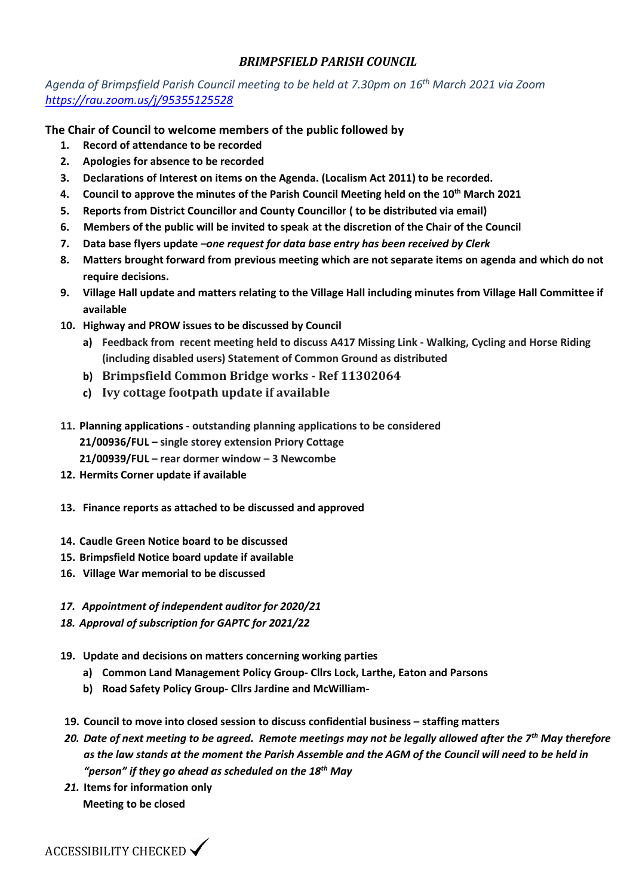*Agenda of Brimpsfield Parish Council meeting to be held at 7.30pm on 16th March 2021 via Zoom <https://rau.zoom.us/j/95355125528>*

**The Chair of Council to welcome members of the public followed by**

- **1. Record of attendance to be recorded**
- **2. Apologies for absence to be recorded**
- **3. Declarations of Interest on items on the Agenda. (Localism Act 2011) to be recorded.**
- **4. Council to approve the minutes of the Parish Council Meeting held on the 10th March 2021**
- **5. Reports from District Councillor and County Councillor ( to be distributed via email)**
- **6. Members of the public will be invited to speak at the discretion of the Chair of the Council**
- **7. Data base flyers update** *–one request for data base entry has been received by Clerk*
- **8. Matters brought forward from previous meeting which are not separate items on agenda and which do not require decisions.**
- **9. Village Hall update and matters relating to the Village Hall including minutes from Village Hall Committee if available**
- **10. Highway and PROW issues to be discussed by Council**
	- **a) Feedback from recent meeting held to discuss A417 Missing Link - Walking, Cycling and Horse Riding (including disabled users) Statement of Common Ground as distributed**
	- **b) Brimpsfield Common Bridge works - Ref 11302064**
	- **c) Ivy cottage footpath update if available**
- **11. Planning applications - outstanding planning applications to be considered 21/00936/FUL – single storey extension Priory Cottage 21/00939/FUL – rear dormer window – 3 Newcombe**
- **12. Hermits Corner update if available**
- **13. Finance reports as attached to be discussed and approved**
- **14. Caudle Green Notice board to be discussed**
- **15. Brimpsfield Notice board update if available**
- **16. Village War memorial to be discussed**
- *17. Appointment of independent auditor for 2020/21*
- *18. Approval of subscription for GAPTC for 2021/22*
- **19. Update and decisions on matters concerning working parties**
	- **a) Common Land Management Policy Group- Cllrs Lock, Larthe, Eaton and Parsons**
	- **b) Road Safety Policy Group- Cllrs Jardine and McWilliam-**
- **19. Council to move into closed session to discuss confidential business – staffing matters**
- *20. Date of next meeting to be agreed. Remote meetings may not be legally allowed after the 7th May therefore as the law stands at the moment the Parish Assemble and the AGM of the Council will need to be held in "person" if they go ahead as scheduled on the 18th May*
- *21.* **Items for information only** **Meeting to be closed**

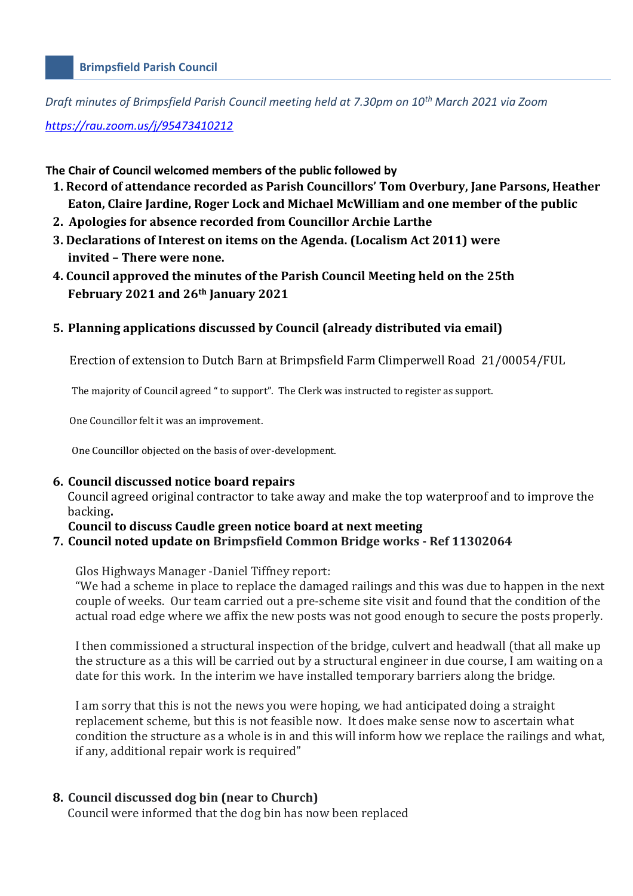#### **Brimpsfield Parish Council**

*Draft minutes of Brimpsfield Parish Council meeting held at 7.30pm on 10th March 2021 via Zoom* 

*<https://rau.zoom.us/j/95473410212>*

#### **The Chair of Council welcomed members of the public followed by**

- **1. Record of attendance recorded as Parish Councillors' Tom Overbury, Jane Parsons, Heather Eaton, Claire Jardine, Roger Lock and Michael McWilliam and one member of the public**
- **2. Apologies for absence recorded from Councillor Archie Larthe**
- **3. Declarations of Interest on items on the Agenda. (Localism Act 2011) were invited – There were none.**
- **4. Council approved the minutes of the Parish Council Meeting held on the 25th February 2021 and 26th January 2021**

#### **5. Planning applications discussed by Council (already distributed via email)**

Erection of extension to Dutch Barn at Brimpsfield Farm Climperwell Road 21/00054/FUL

The majority of Council agreed " to support". The Clerk was instructed to register as support.

One Councillor felt it was an improvement.

One Councillor objected on the basis of over-development.

#### **6. Council discussed notice board repairs**

Council agreed original contractor to take away and make the top waterproof and to improve the backing**.** 

#### **Council to discuss Caudle green notice board at next meeting**

#### **7. Council noted update on Brimpsfield Common Bridge works - Ref 11302064**

Glos Highways Manager -Daniel Tiffney report:

"We had a scheme in place to replace the damaged railings and this was due to happen in the next couple of weeks. Our team carried out a pre-scheme site visit and found that the condition of the actual road edge where we affix the new posts was not good enough to secure the posts properly.

I then commissioned a structural inspection of the bridge, culvert and headwall (that all make up the structure as a this will be carried out by a structural engineer in due course, I am waiting on a date for this work. In the interim we have installed temporary barriers along the bridge.

I am sorry that this is not the news you were hoping, we had anticipated doing a straight replacement scheme, but this is not feasible now. It does make sense now to ascertain what condition the structure as a whole is in and this will inform how we replace the railings and what, if any, additional repair work is required"

#### **8. Council discussed dog bin (near to Church)**

Council were informed that the dog bin has now been replaced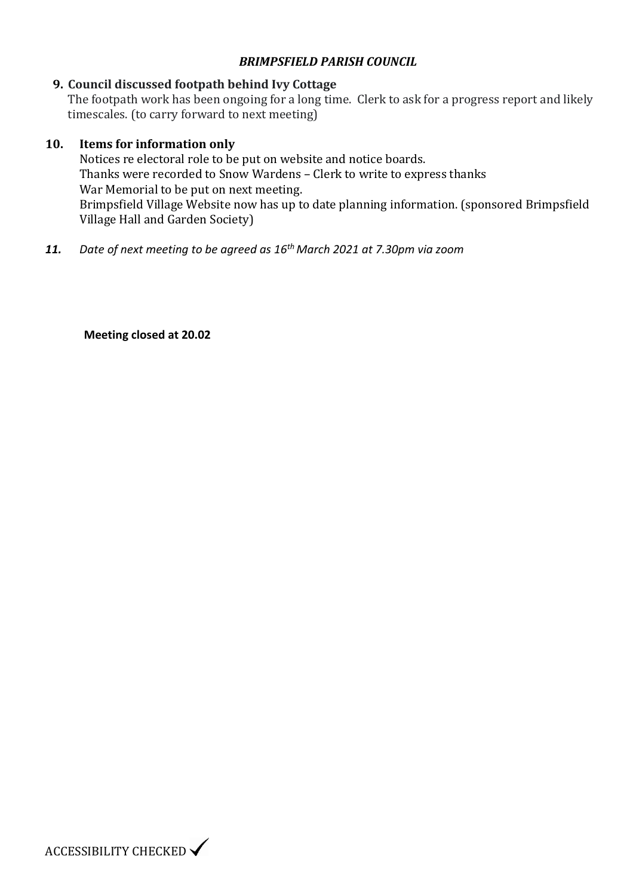### **9. Council discussed footpath behind Ivy Cottage**

The footpath work has been ongoing for a long time. Clerk to ask for a progress report and likely timescales. (to carry forward to next meeting)

#### **10. Items for information only**

Notices re electoral role to be put on website and notice boards. Thanks were recorded to Snow Wardens – Clerk to write to express thanks War Memorial to be put on next meeting. Brimpsfield Village Website now has up to date planning information. (sponsored Brimpsfield Village Hall and Garden Society)

*11. Date of next meeting to be agreed as 16th March 2021 at 7.30pm via zoom* 

**Meeting closed at 20.02**

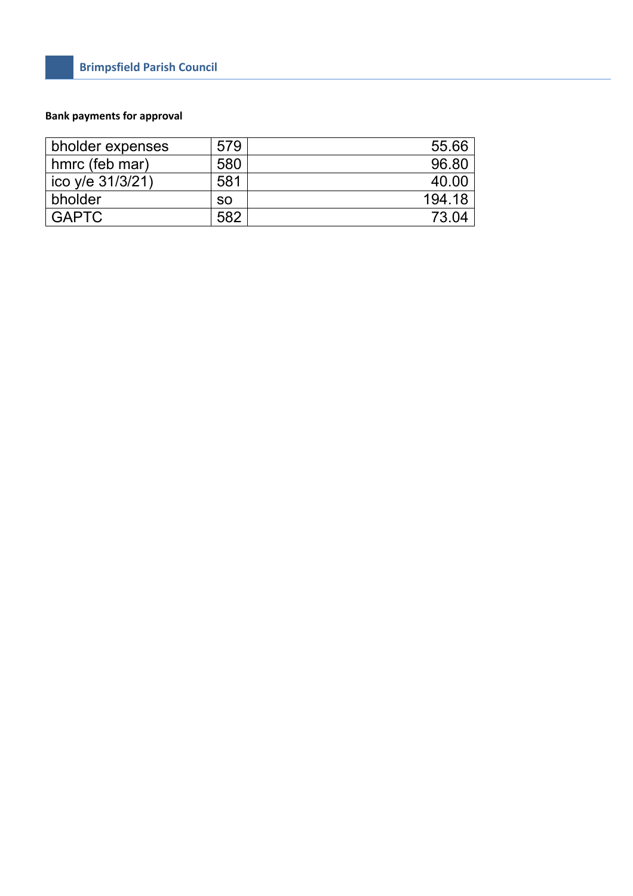### **Bank payments for approval**

| bholder expenses | 579       | 55.66  |
|------------------|-----------|--------|
| hmrc (feb mar)   | 580       | 96.80  |
| ico y/e 31/3/21) | 581       | 40.00  |
| bholder          | <b>SO</b> | 194.18 |
| <b>GAPTC</b>     | 582       | 73.04  |
|                  |           |        |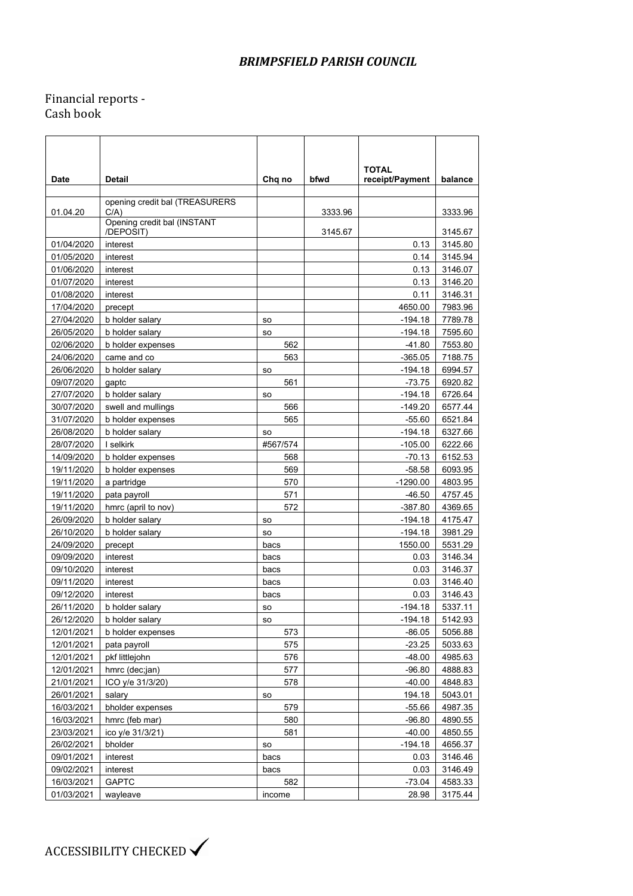### Financial reports - Cash book

|             |                                          |           |         | <b>TOTAL</b>    |         |
|-------------|------------------------------------------|-----------|---------|-----------------|---------|
| <b>Date</b> | Detail                                   | Chq no    | bfwd    | receipt/Payment | balance |
|             |                                          |           |         |                 |         |
| 01.04.20    | opening credit bal (TREASURERS<br>C/A    |           | 3333.96 |                 | 3333.96 |
|             | Opening credit bal (INSTANT<br>/DEPOSIT) |           | 3145.67 |                 | 3145.67 |
| 01/04/2020  | interest                                 |           |         | 0.13            | 3145.80 |
| 01/05/2020  | interest                                 |           |         | 0.14            | 3145.94 |
| 01/06/2020  | interest                                 |           |         | 0.13            | 3146.07 |
| 01/07/2020  | interest                                 |           |         | 0.13            | 3146.20 |
| 01/08/2020  | interest                                 |           |         | 0.11            | 3146.31 |
| 17/04/2020  | precept                                  |           |         | 4650.00         | 7983.96 |
| 27/04/2020  | b holder salary                          | <b>SO</b> |         | -194.18         | 7789.78 |
| 26/05/2020  | b holder salary                          | <b>SO</b> |         | -194.18         | 7595.60 |
| 02/06/2020  | b holder expenses                        | 562       |         | -41.80          | 7553.80 |
| 24/06/2020  | came and co                              | 563       |         | $-365.05$       | 7188.75 |
| 26/06/2020  | b holder salary                          | <b>SO</b> |         | -194.18         | 6994.57 |
| 09/07/2020  | gaptc                                    | 561       |         | -73.75          | 6920.82 |
| 27/07/2020  | b holder salary                          | <b>SO</b> |         | -194.18         | 6726.64 |
| 30/07/2020  | swell and mullings                       | 566       |         | $-149.20$       | 6577.44 |
| 31/07/2020  | b holder expenses                        | 565       |         | -55.60          | 6521.84 |
| 26/08/2020  | b holder salary                          | <b>SO</b> |         | -194.18         | 6327.66 |
| 28/07/2020  | I selkirk                                | #567/574  |         | $-105.00$       | 6222.66 |
| 14/09/2020  | b holder expenses                        | 568       |         | -70.13          | 6152.53 |
| 19/11/2020  | b holder expenses                        | 569       |         | $-58.58$        | 6093.95 |
| 19/11/2020  | a partridge                              | 570       |         | $-1290.00$      | 4803.95 |
| 19/11/2020  | pata payroll                             | 571       |         | -46.50          | 4757.45 |
| 19/11/2020  | hmrc (april to nov)                      | 572       |         | $-387.80$       | 4369.65 |
| 26/09/2020  | b holder salary                          | so        |         | $-194.18$       | 4175.47 |
| 26/10/2020  | b holder salary                          | <b>SO</b> |         | $-194.18$       | 3981.29 |
| 24/09/2020  | precept                                  | bacs      |         | 1550.00         | 5531.29 |
| 09/09/2020  | interest                                 | bacs      |         | 0.03            | 3146.34 |
| 09/10/2020  | interest                                 | bacs      |         | 0.03            | 3146.37 |
| 09/11/2020  | interest                                 | bacs      |         | 0.03            | 3146.40 |
| 09/12/2020  | interest                                 | bacs      |         | 0.03            | 3146.43 |
| 26/11/2020  | b holder salary                          |           |         | -194.18         | 5337.11 |
|             |                                          | so        |         | -194.18         |         |
| 26/12/2020  | b holder salary                          | so        |         |                 | 5142.93 |
| 12/01/2021  | b holder expenses                        | 573       |         | -86.05          | 5056.88 |
| 12/01/2021  | pata payroll                             | 575       |         | $-23.25$        | 5033.63 |
| 12/01/2021  | pkf littlejohn                           | 576       |         | $-48.00$        | 4985.63 |
| 12/01/2021  | hmrc (dec;jan)                           | 577       |         | $-96.80$        | 4888.83 |
| 21/01/2021  | ICO y/e 31/3/20)                         | 578       |         | $-40.00$        | 4848.83 |
| 26/01/2021  | salary                                   | so        |         | 194.18          | 5043.01 |
| 16/03/2021  | bholder expenses                         | 579       |         | $-55.66$        | 4987.35 |
| 16/03/2021  | hmrc (feb mar)                           | 580       |         | $-96.80$        | 4890.55 |
| 23/03/2021  | ico y/e 31/3/21)                         | 581       |         | $-40.00$        | 4850.55 |
| 26/02/2021  | bholder                                  | so        |         | $-194.18$       | 4656.37 |
| 09/01/2021  | interest                                 | bacs      |         | 0.03            | 3146.46 |
| 09/02/2021  | interest                                 | bacs      |         | 0.03            | 3146.49 |
| 16/03/2021  | <b>GAPTC</b>                             | 582       |         | $-73.04$        | 4583.33 |
| 01/03/2021  | wayleave                                 | income    |         | 28.98           | 3175.44 |

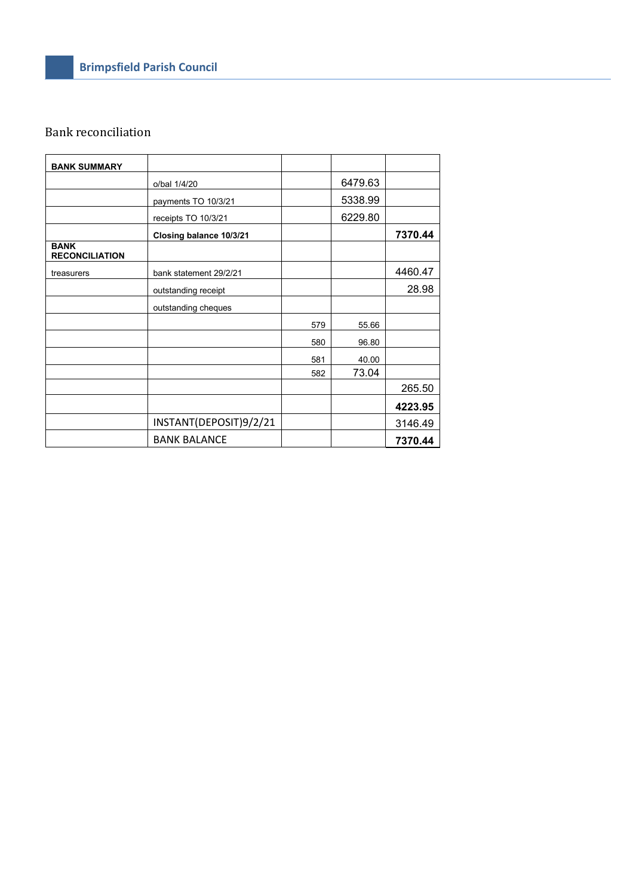# Bank reconciliation

| <b>BANK SUMMARY</b>                  |                         |     |         |         |
|--------------------------------------|-------------------------|-----|---------|---------|
|                                      | o/bal 1/4/20            |     | 6479.63 |         |
|                                      | payments TO 10/3/21     |     | 5338.99 |         |
|                                      | receipts TO 10/3/21     |     | 6229.80 |         |
|                                      | Closing balance 10/3/21 |     |         | 7370.44 |
| <b>BANK</b><br><b>RECONCILIATION</b> |                         |     |         |         |
| treasurers                           | bank statement 29/2/21  |     |         | 4460.47 |
|                                      | outstanding receipt     |     |         | 28.98   |
|                                      | outstanding cheques     |     |         |         |
|                                      |                         | 579 | 55.66   |         |
|                                      |                         | 580 | 96.80   |         |
|                                      |                         | 581 | 40.00   |         |
|                                      |                         | 582 | 73.04   |         |
|                                      |                         |     |         | 265.50  |
|                                      |                         |     |         | 4223.95 |
|                                      | INSTANT(DEPOSIT)9/2/21  |     |         | 3146.49 |
|                                      | <b>BANK BALANCE</b>     |     |         | 7370.44 |